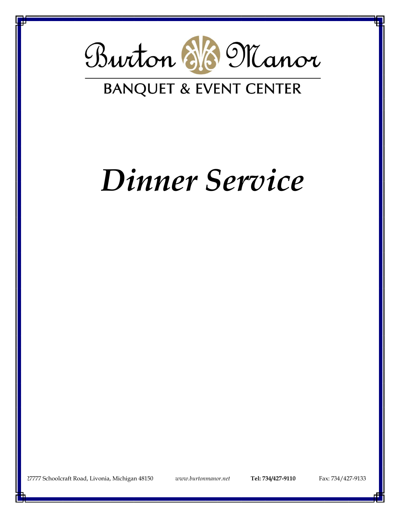

# *Dinner Service*

227777 Schoolcraft Road, Livonia, Michigan 48150 *[www.burtonmanor.net](http://www.burtonmanor.net/)* **Tel: 734/427-9110** Fax: 734/427-9133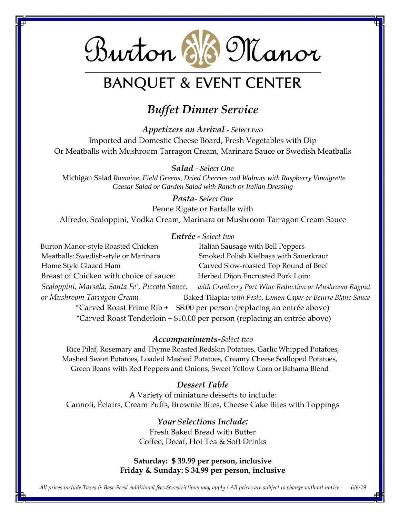

### *Buffet Dinner Service*

*Appetizers on Arrival - Select two* Imported and Domestic Cheese Board, Fresh Vegetables with Dip Or Meatballs with Mushroom Tarragon Cream, Marinara Sauce or Swedish Meatballs

*Salad - Select One* Michigan Salad *Romaine, Field Greens, Dried Cherries and Walnuts with Raspberry Vinaigrette Caesar Salad or Garden Salad with Ranch or Italian Dressing*

*Pasta- Select One* Penne Rigate or Farfalle with Alfredo, Scaloppini, Vodka Cream, Marinara or Mushroom Tarragon Cream Sauce

#### *Entrée* **-** *Select two*

**Burton Manor-style Roasted Chicken Italian Sausage with Bell Peppers**  Meatballs: Swedish-style or Marinara Smoked Polish Kielbasa with Sauerkraut Home Style Glazed Ham Carved Slow-roasted Top Round of Beef Breast of Chicken with choice of sauce:Herbed Dijon Encrusted Pork Loin:  *Scaloppini, Marsala, Santa Fe', Piccata Sauce, with Cranberry Port Wine Reduction or Mushroom Ragout or Mushroom Tarragon Cream* Baked Tilapia**:** *with Pesto, Lemon Caper or Beurre Blanc Sauce* \*Carved Roast Prime Rib + \$8.00 per person (replacing an entrée above)

\*Carved Roast Tenderloin + \$10.00 per person (replacing an entrée above)

#### *Accompaniments-Select two*

Rice Pilaf, Rosemary and Thyme Roasted Redskin Potatoes, Garlic Whipped Potatoes, Mashed Sweet Potatoes, Loaded Mashed Potatoes, Creamy Cheese Scalloped Potatoes, Green Beans with Red Peppers and Onions, Sweet Yellow Corn or Bahama Blend

#### *Dessert Table*

A Variety of miniature desserts to include: Cannoli, Éclairs, Cream Puffs, Brownie Bites, Cheese Cake Bites with Toppings

> *Your Selections Include:* Fresh Baked Bread with Butter Coffee, Decaf, Hot Tea & Soft Drinks

#### **Saturday: \$ 39.99 per person, inclusive Friday & Sunday: \$ 34.99 per person, inclusive**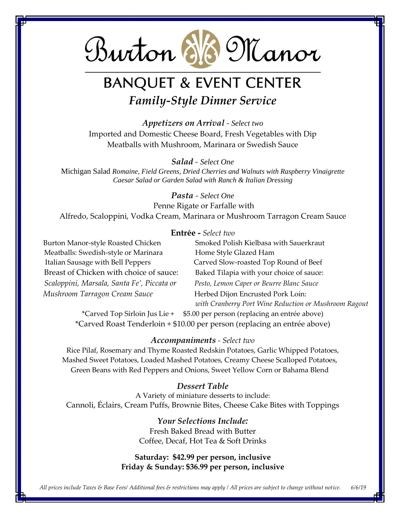

## **BANQUET & EVENT CENTER** *Family-Style Dinner Service*

*Appetizers on Arrival - Select two* Imported and Domestic Cheese Board, Fresh Vegetables with Dip Meatballs with Mushroom, Marinara or Swedish Sauce

*Salad - Select One*

Michigan Salad *Romaine, Field Greens, Dried Cherries and Walnuts with Raspberry Vinaigrette Caesar Salad or Garden Salad with Ranch & Italian Dressing*

*Pasta - Select One*

Penne Rigate or Farfalle with

Alfredo, Scaloppini, Vodka Cream, Marinara or Mushroom Tarragon Cream Sauce

#### **Entrée -** *Select two*

Meatballs: Swedish-style or Marinara Home Style Glazed Ham Italian Sausage with Bell Peppers Carved Slow-roasted Top Round of Beef Breast of Chicken with choice of sauce: Baked Tilapia with your choice of sauce: *Scaloppini, Marsala, Santa Fe', Piccata or Pesto, Lemon Caper or Beurre Blanc Sauce Mushroom Tarragon Cream Sauce* **Herbed Dijon Encrusted Pork Loin:** 

Burton Manor-style Roasted Chicken Smoked Polish Kielbasa with Sauerkraut *with Cranberry Port Wine Reduction or Mushroom Ragout*

\*Carved Top Sirloin Jus Lie + \$5.00 per person (replacing an entrée above) \*Carved Roast Tenderloin + \$10.00 per person (replacing an entrée above)

#### *Accompaniments - Select two*

Rice Pilaf, Rosemary and Thyme Roasted Redskin Potatoes, Garlic Whipped Potatoes, Mashed Sweet Potatoes, Loaded Mashed Potatoes, Creamy Cheese Scalloped Potatoes, Green Beans with Red Peppers and Onions, Sweet Yellow Corn or Bahama Blend

#### *Dessert Table*

A Variety of miniature desserts to include: Cannoli, Éclairs, Cream Puffs, Brownie Bites, Cheese Cake Bites with Toppings

> *Your Selections Include:* Fresh Baked Bread with Butter Coffee, Decaf, Hot Tea & Soft Drinks

#### **Saturday: \$42.99 per person, inclusive Friday & Sunday: \$36.99 per person, inclusive**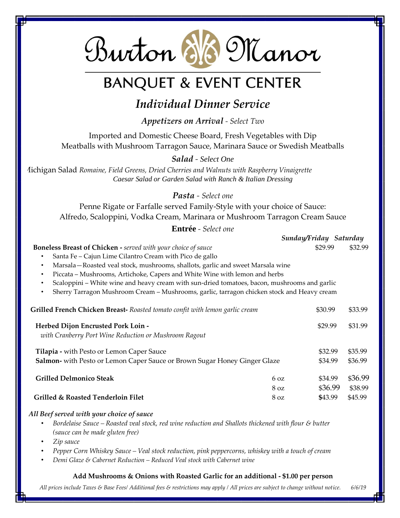

### *Individual Dinner Service*

*Appetizers on Arrival - Select Two*

Imported and Domestic Cheese Board, Fresh Vegetables with Dip Meatballs with Mushroom Tarragon Sauce, Marinara Sauce or Swedish Meatballs

*Salad - Select One*

Michigan Salad *Romaine, Field Greens, Dried Cherries and Walnuts with Raspberry Vinaigrette Caesar Salad or Garden Salad with Ranch & Italian Dressing*

*Pasta - Select one*

Penne Rigate or Farfalle served Family-Style with your choice of Sauce: Alfredo, Scaloppini, Vodka Cream, Marinara or Mushroom Tarragon Cream Sauce

**Entrée** *- Select one*

|                                                                                                         |                               | Sunday/Friday Saturday |                    |  |  |
|---------------------------------------------------------------------------------------------------------|-------------------------------|------------------------|--------------------|--|--|
| <b>Boneless Breast of Chicken - served with your choice of sauce</b>                                    |                               | \$29.99                | \$32.99            |  |  |
| Santa Fe - Cajun Lime Cilantro Cream with Pico de gallo<br>$\bullet$                                    |                               |                        |                    |  |  |
| Marsala-Roasted veal stock, mushrooms, shallots, garlic and sweet Marsala wine<br>٠                     |                               |                        |                    |  |  |
| Piccata – Mushrooms, Artichoke, Capers and White Wine with lemon and herbs<br>$\bullet$                 |                               |                        |                    |  |  |
| Scaloppini – White wine and heavy cream with sun-dried tomatoes, bacon, mushrooms and garlic<br>٠       |                               |                        |                    |  |  |
| Sherry Tarragon Mushroom Cream - Mushrooms, garlic, tarragon chicken stock and Heavy cream<br>$\bullet$ |                               |                        |                    |  |  |
| Grilled French Chicken Breast- Roasted tomato confit with lemon garlic cream                            |                               | \$30.99                | \$33.99            |  |  |
| Herbed Dijon Encrusted Pork Loin -                                                                      |                               | \$29.99                | \$31.99            |  |  |
| with Cranberry Port Wine Reduction or Mushroom Ragout                                                   |                               |                        |                    |  |  |
| <b>Tilapia - with Pesto or Lemon Caper Sauce</b>                                                        |                               | \$32.99                | \$35.99            |  |  |
| <b>Salmon-</b> with Pesto or Lemon Caper Sauce or Brown Sugar Honey Ginger Glaze                        |                               | \$34.99                | \$36.99            |  |  |
| <b>Grilled Delmonico Steak</b>                                                                          | $6 \Omega$<br>8 <sub>oz</sub> | \$34.99<br>\$36.99     | \$36.99<br>\$38.99 |  |  |
| Grilled & Roasted Tenderloin Filet                                                                      | 8 <sub>oz</sub>               | \$43.99                | \$45.99            |  |  |
|                                                                                                         |                               |                        |                    |  |  |

#### *All Beef served with your choice of sauce*

- *Bordelaise Sauce – Roasted veal stock, red wine reduction and Shallots thickened with flour & butter (sauce can be made gluten free)*
- *Zip sauce*
- *Pepper Corn Whiskey Sauce – Veal stock reduction, pink peppercorns, whiskey with a touch of cream*
- *Demi Glaze & Cabernet Reduction – Reduced Veal stock with Cabernet wine*

#### **Add Mushrooms & Onions with Roasted Garlic for an additional - \$1.00 per person**